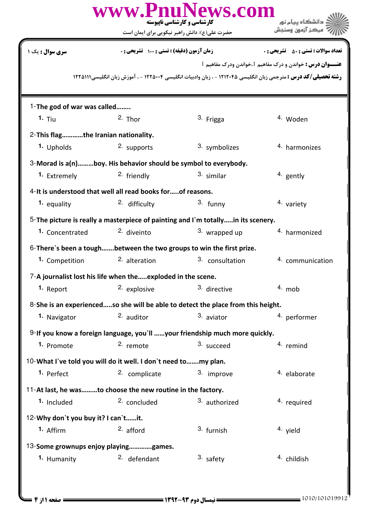|                                      | حضرت علی(ع): دانش راهبر نیکویی برای ایمان است                   | www.PnuNews.com<br>کارشناسی و کارشناسی ناپیوسته                                  | دانشگاه پیام نور<br>مركز آزمون وسنجش                                                                                   |
|--------------------------------------|-----------------------------------------------------------------|----------------------------------------------------------------------------------|------------------------------------------------------------------------------------------------------------------------|
| <b>سری سوال :</b> یک ۱               | زمان آزمون (دقیقه) : تستی : ۱۰۰٪ تشریحی : ۰                     |                                                                                  | <b>تعداد سوالات : تستي : 50 ٪ تشريحي : 0</b>                                                                           |
|                                      |                                                                 |                                                                                  | <b>عنـــوان درس :</b> خواندن و درک مفاهیم 1،خواندن ودرک مفاهیم 1                                                       |
|                                      |                                                                 |                                                                                  | <b>رشته تحصیلی/کد درس :</b> مترجمی زبان انگلیسی ۱۲۱۲۰۴۵ - ، زبان وادبیات انگلیسی ۱۲۲۵۰۰۴ - ، آموزش زبان انگلیسیI۲۲۵۱۱۱ |
| 1-The god of war was called          |                                                                 |                                                                                  |                                                                                                                        |
| 1. Tiu                               | $2.$ Thor                                                       | 3. Frigga                                                                        | 4. Woden                                                                                                               |
| 2-This flagthe Iranian nationality.  |                                                                 |                                                                                  |                                                                                                                        |
| 1. Upholds                           | 2. supports                                                     | 3. symbolizes                                                                    | 4. harmonizes                                                                                                          |
|                                      | 3-Morad is a(n)boy. His behavior should be symbol to everybody. |                                                                                  |                                                                                                                        |
| 1. Extremely                         | <sup>2.</sup> friendly                                          | 3. similar                                                                       | 4. gently                                                                                                              |
|                                      | 4-It is understood that well all read books forof reasons.      |                                                                                  |                                                                                                                        |
| 1. equality                          | 2. difficulty                                                   | 3. funny                                                                         | 4. variety                                                                                                             |
|                                      |                                                                 | 5-The picture is really a masterpiece of painting and I'm totallyin its scenery. |                                                                                                                        |
| 1. Concentrated                      | <sup>2.</sup> diveinto                                          | 3. wrapped up                                                                    | 4. harmonized                                                                                                          |
|                                      |                                                                 | 6-There's been a toughbetween the two groups to win the first prize.             |                                                                                                                        |
| 1. Competition                       | <sup>2</sup> alteration                                         | 3. consultation                                                                  | 4. communication                                                                                                       |
|                                      | 7-A journalist lost his life when theexploded in the scene      |                                                                                  |                                                                                                                        |
| 1. Report                            | 2. explosive                                                    | 3. directive                                                                     | $4.$ mob                                                                                                               |
|                                      |                                                                 | 8-She is an experiencedso she will be able to detect the place from this height. |                                                                                                                        |
| 1. Navigator                         | <sup>2.</sup> auditor                                           | 3. aviator                                                                       | 4. performer                                                                                                           |
|                                      |                                                                 | 9-If you know a foreign language, you'll your friendship much more quickly.      |                                                                                                                        |
| 1. Promote                           | 2. remote                                                       | 3. succeed                                                                       | 4. remind                                                                                                              |
|                                      | 10-What I've told you will do it well. I don't need tomy plan.  |                                                                                  |                                                                                                                        |
| 1. Perfect                           | 2. complicate                                                   | 3. improve                                                                       | <sup>4</sup> elaborate                                                                                                 |
|                                      | 11-At last, he wasto choose the new routine in the factory.     |                                                                                  |                                                                                                                        |
| 1. Included                          | <sup>2.</sup> concluded                                         | 3. authorized                                                                    | <sup>4.</sup> required                                                                                                 |
| 12-Why don't you buy it? I can'tit.  |                                                                 |                                                                                  |                                                                                                                        |
| 1. Affirm                            | $2.$ afford                                                     | 3. furnish                                                                       | 4. yield                                                                                                               |
| 13-Some grownups enjoy playinggames. |                                                                 |                                                                                  |                                                                                                                        |
| 1. Humanity                          | <sup>2.</sup> defendant                                         | 3. safety                                                                        | 4. childish                                                                                                            |
|                                      |                                                                 |                                                                                  |                                                                                                                        |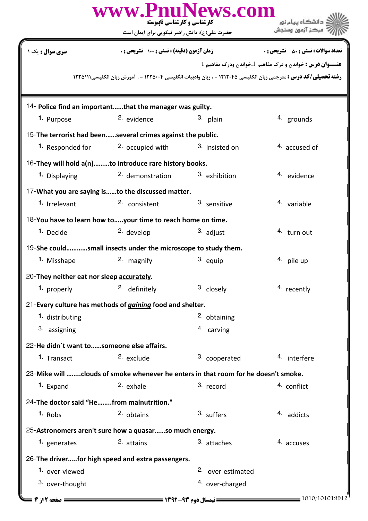| www.PnuNews.com<br>دانشگاه پیام نور<br>کارشناسی و کارشناسی ناپیوسته |                                                                                                                        |                              |                                                                  |  |
|---------------------------------------------------------------------|------------------------------------------------------------------------------------------------------------------------|------------------------------|------------------------------------------------------------------|--|
|                                                                     | حضرت علی(ع): دانش راهبر نیکویی برای ایمان است                                                                          |                              | مركز آزمون وسنجش                                                 |  |
| <b>سری سوال :</b> یک ۱                                              | زمان آزمون (دقیقه) : تستی : 100 تشریحی : 0                                                                             |                              | <b>تعداد سوالات : تستی : 50 ٪ تشریحی : 0</b>                     |  |
|                                                                     |                                                                                                                        |                              | <b>عنـــوان درس :</b> خواندن و درک مفاهیم 1،خواندن ودرک مفاهیم 1 |  |
|                                                                     | <b>رشته تحصیلی/کد درس :</b> مترجمی زبان انگلیسی ۱۲۱۲۰۴۵ - ، زبان وادبیات انگلیسی ۱۲۲۵۰۰۴ - ، آموزش زبان انگلیسی۱۲۲۵۱۱۱ |                              |                                                                  |  |
|                                                                     | 14- Police find an importantthat the manager was guilty.                                                               |                              |                                                                  |  |
| 1. Purpose                                                          | <sup>2.</sup> evidence                                                                                                 | 3.<br>plain                  | <sup>4.</sup> grounds                                            |  |
|                                                                     | 15-The terrorist had beenseveral crimes against the public.                                                            |                              |                                                                  |  |
| 1. Responded for                                                    | <sup>2.</sup> occupied with                                                                                            | 3. Insisted on               | $4.$ accused of                                                  |  |
|                                                                     | 16-They will hold a(n)to introduce rare history books.                                                                 |                              |                                                                  |  |
| 1. Displaying                                                       | <sup>2</sup> demonstration                                                                                             | 3. exhibition                | 4. evidence                                                      |  |
|                                                                     | 17-What you are saying isto the discussed matter.                                                                      |                              |                                                                  |  |
| 1. Irrelevant                                                       | 2. consistent                                                                                                          | 3. sensitive                 | 4. variable                                                      |  |
|                                                                     | 18-You have to learn how toyour time to reach home on time.                                                            |                              |                                                                  |  |
| 1. Decide                                                           | <sup>2.</sup> develop                                                                                                  | 3. adjust                    | 4. turn out                                                      |  |
|                                                                     | 19-She couldsmall insects under the microscope to study them.                                                          |                              |                                                                  |  |
| 1. Misshape                                                         | 2. magnify                                                                                                             | 3. equip                     | $4.$ pile up                                                     |  |
| 20-They neither eat nor sleep accurately.                           |                                                                                                                        |                              |                                                                  |  |
| 1. properly                                                         | 2. definitely                                                                                                          | 3. closely                   | 4. recently                                                      |  |
|                                                                     | 21-Every culture has methods of <i>gaining</i> food and shelter.                                                       |                              |                                                                  |  |
| 1. distributing                                                     |                                                                                                                        | 2. obtaining                 |                                                                  |  |
| 3. assigning                                                        |                                                                                                                        | 4. carving                   |                                                                  |  |
| 22-He didn't want to  someone else affairs.                         |                                                                                                                        |                              |                                                                  |  |
| 1. Transact                                                         | <sup>2.</sup> exclude                                                                                                  | 3. cooperated                | 4. interfere                                                     |  |
|                                                                     | 23-Mike will clouds of smoke whenever he enters in that room for he doesn't smoke.                                     |                              |                                                                  |  |
| 1. Expand                                                           | 2. exhale                                                                                                              | 3. record                    | 4. conflict                                                      |  |
| 24-The doctor said "He   from malnutrition."                        |                                                                                                                        |                              |                                                                  |  |
| $1.$ Robs                                                           | 2. obtains                                                                                                             | 3. suffers                   | 4. addicts                                                       |  |
|                                                                     | 25-Astronomers aren't sure how a quasarso much energy.                                                                 |                              |                                                                  |  |
| 1. generates                                                        | <sup>2.</sup> attains                                                                                                  | 3. attaches                  | 4. accuses                                                       |  |
|                                                                     | 26-The driverfor high speed and extra passengers.                                                                      |                              |                                                                  |  |
| 1. over-viewed                                                      |                                                                                                                        | <sup>2.</sup> over-estimated |                                                                  |  |
| 3. over-thought                                                     |                                                                                                                        | 4. over-charged              |                                                                  |  |
| ـــــــــــ صفحه 12; 4 ـــا                                         | <b>ــــــ نیمسال دوم ۹۳-۱۳۹۲ ـــــــــــــــــ</b>                                                                     |                              | 1010/101019912                                                   |  |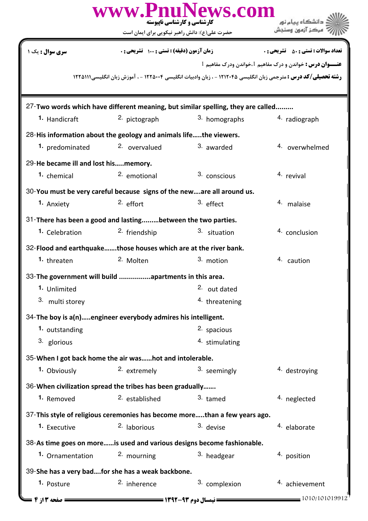|                                                                                  |                                               | www.PnuNews.com<br>کارشناسی و کارشناسی ناپیوسته | دانشگاه سام نور                                                                                                        |
|----------------------------------------------------------------------------------|-----------------------------------------------|-------------------------------------------------|------------------------------------------------------------------------------------------------------------------------|
|                                                                                  | حضرت علی(ع): دانش راهبر نیکویی برای ایمان است |                                                 |                                                                                                                        |
| <b>سری سوال :</b> یک ۱                                                           | زمان آزمون (دقیقه) : تستی : 100 تشریحی : 0    |                                                 | <b>تعداد سوالات : تستی : 50 ٪ تشریحی : 0</b>                                                                           |
|                                                                                  |                                               |                                                 | عنـــوان درس: خواندن و درک مفاهیم 1،خواندن ودرک مفاهیم 1                                                               |
|                                                                                  |                                               |                                                 | <b>رشته تحصیلی/کد درس :</b> مترجمی زبان انگلیسی ۱۲۱۲۰۴۵ - ، زبان وادبیات انگلیسی ۱۲۲۵۰۰۴ - ، آموزش زبان انگلیسی،۱۲۲۵۱۱ |
|                                                                                  |                                               |                                                 |                                                                                                                        |
| 27-Two words which have different meaning, but similar spelling, they are called |                                               |                                                 |                                                                                                                        |
| <sup>1</sup> Handicraft                                                          | 2. pictograph                                 | 3. homographs                                   | 4. radiograph                                                                                                          |
| 28-His information about the geology and animals lifethe viewers.                |                                               |                                                 |                                                                                                                        |
| 1. predominated                                                                  | <sup>2.</sup> overvalued                      | 3. awarded                                      | 4. overwhelmed                                                                                                         |
| 29-He became ill and lost hismemory.                                             |                                               |                                                 |                                                                                                                        |
| 1. chemical                                                                      | 2. emotional                                  | 3. conscious                                    | 4. revival                                                                                                             |
| 30-You must be very careful because signs of the neware all around us.           |                                               |                                                 |                                                                                                                        |
| 1. Anxiety                                                                       | $2.$ effort                                   | 3. effect                                       | 4. malaise                                                                                                             |
| 31-There has been a good and lastingbetween the two parties.                     |                                               |                                                 |                                                                                                                        |
| 1. Celebration                                                                   | <sup>2.</sup> friendship                      | 3. situation                                    | 4. conclusion                                                                                                          |
| 32-Flood and earthquakethose houses which are at the river bank.                 |                                               |                                                 |                                                                                                                        |
| 1. threaten                                                                      | 2. Molten                                     | 3. motion                                       | 4. caution                                                                                                             |
| 33-The government will build apartments in this area.                            |                                               |                                                 |                                                                                                                        |
| 1. Unlimited                                                                     |                                               | 2. out dated                                    |                                                                                                                        |
| 3. multi storey                                                                  |                                               | 4. threatening                                  |                                                                                                                        |
| 34-The boy is a(n)engineer everybody admires his intelligent.                    |                                               |                                                 |                                                                                                                        |
| 1. outstanding                                                                   |                                               | 2. spacious                                     |                                                                                                                        |
| 3. glorious                                                                      |                                               | 4. stimulating                                  |                                                                                                                        |
| 35-When I got back home the air washot and intolerable.                          |                                               |                                                 |                                                                                                                        |
| 1. Obviously                                                                     | 2. extremely                                  | 3. seemingly                                    | 4. destroying                                                                                                          |
| 36-When civilization spread the tribes has been gradually                        |                                               |                                                 |                                                                                                                        |
| 1. Removed                                                                       | <sup>2.</sup> established                     | 3. tamed                                        | 4. neglected                                                                                                           |
| 37-This style of religious ceremonies has become morethan a few years ago.       |                                               |                                                 |                                                                                                                        |
| 1. Executive                                                                     | <sup>2.</sup> laborious                       | 3. devise                                       | <sup>4</sup> elaborate                                                                                                 |
| 38-As time goes on moreis used and various designs become fashionable.           |                                               |                                                 |                                                                                                                        |
| 1. Ornamentation                                                                 | 2. mourning                                   | 3. headgear                                     | 4. position                                                                                                            |
| 39-She has a very badfor she has a weak backbone.                                |                                               |                                                 |                                                                                                                        |
| 1. Posture                                                                       | 2. inherence                                  | 3. complexion                                   | 4. achievement                                                                                                         |
| : صفحه ۳                                                                         |                                               | = نیمسال دوم ۹۳-۱۳۹۲ ======                     | 1010/101019912                                                                                                         |